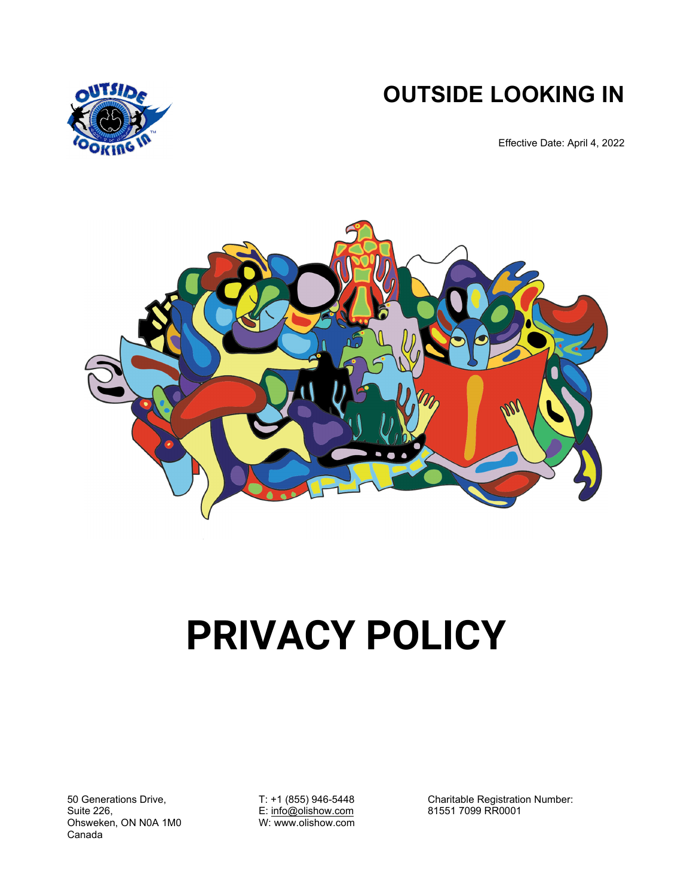**OUTSIDE LOOKING IN** 



Effective Date: April 4, 2022



# **PRIVACY POLICY**

50 Generations Drive, Suite 226, Ohsweken, ON N0A 1M0 Canada

T: +1 (855) 946-5448 E: info@olishow.com W: www.olishow.com

Charitable Registration Number: 81551 7099 RR0001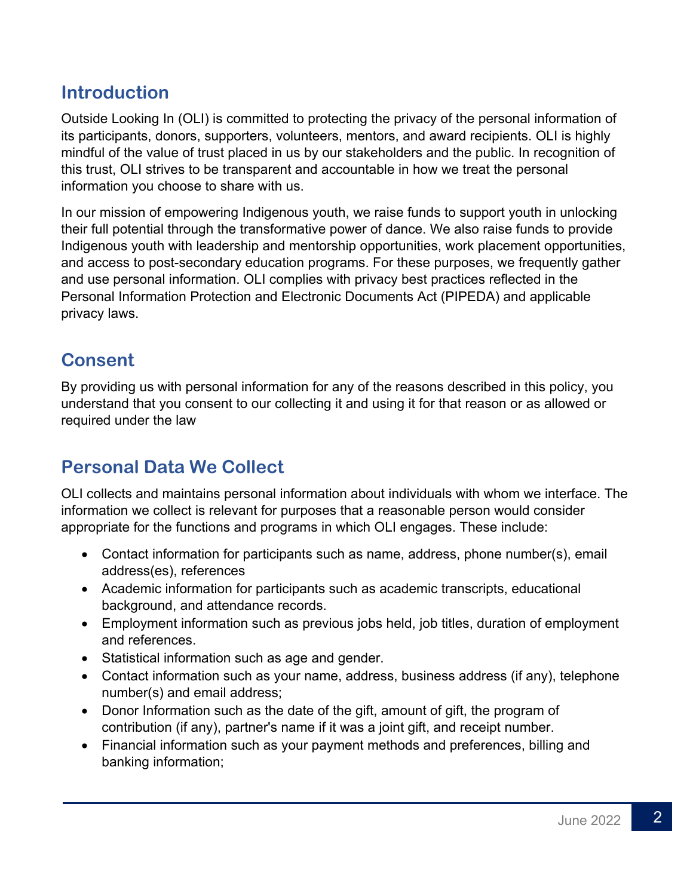#### **Introduction**

Outside Looking In (OLI) is committed to protecting the privacy of the personal information of its participants, donors, supporters, volunteers, mentors, and award recipients. OLI is highly mindful of the value of trust placed in us by our stakeholders and the public. In recognition of this trust, OLI strives to be transparent and accountable in how we treat the personal information you choose to share with us.

In our mission of empowering Indigenous youth, we raise funds to support youth in unlocking their full potential through the transformative power of dance. We also raise funds to provide Indigenous youth with leadership and mentorship opportunities, work placement opportunities, and access to post-secondary education programs. For these purposes, we frequently gather and use personal information. OLI complies with privacy best practices reflected in the Personal Information Protection and Electronic Documents Act (PIPEDA) and applicable privacy laws.

# **Consent**

By providing us with personal information for any of the reasons described in this policy, you understand that you consent to our collecting it and using it for that reason or as allowed or required under the law

# **Personal Data We Collect**

OLI collects and maintains personal information about individuals with whom we interface. The information we collect is relevant for purposes that a reasonable person would consider appropriate for the functions and programs in which OLI engages. These include:

- Contact information for participants such as name, address, phone number(s), email address(es), references
- Academic information for participants such as academic transcripts, educational background, and attendance records.
- Employment information such as previous jobs held, job titles, duration of employment and references.
- Statistical information such as age and gender.
- Contact information such as your name, address, business address (if any), telephone number(s) and email address;
- Donor Information such as the date of the gift, amount of gift, the program of contribution (if any), partner's name if it was a joint gift, and receipt number.
- Financial information such as your payment methods and preferences, billing and banking information;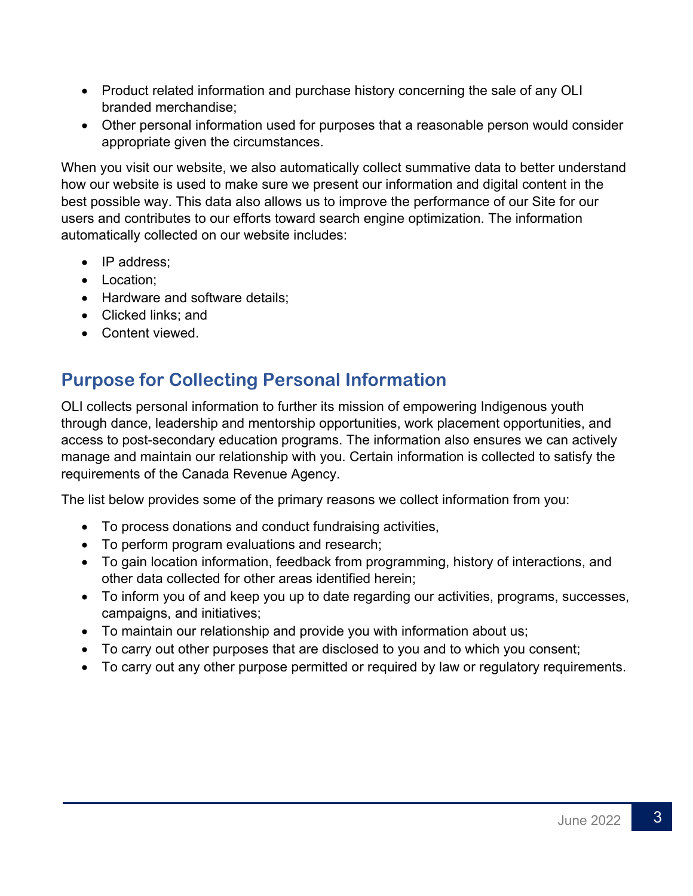- Product related information and purchase history concerning the sale of any OLI branded merchandise;
- Other personal information used for purposes that a reasonable person would consider appropriate given the circumstances.

When you visit our website, we also automatically collect summative data to better understand how our website is used to make sure we present our information and digital content in the best possible way. This data also allows us to improve the performance of our Site for our users and contributes to our efforts toward search engine optimization. The information automatically collected on our website includes:

- IP address;
- Location:
- Hardware and software details;
- Clicked links: and
- Content viewed.

# **Purpose for Collecting Personal Information**

OLI collects personal information to further its mission of empowering Indigenous youth through dance, leadership and mentorship opportunities, work placement opportunities, and access to post-secondary education programs. The information also ensures we can actively manage and maintain our relationship with you. Certain information is collected to satisfy the requirements of the Canada Revenue Agency.

The list below provides some of the primary reasons we collect information from you:

- To process donations and conduct fundraising activities,
- To perform program evaluations and research;
- To gain location information, feedback from programming, history of interactions, and other data collected for other areas identified herein;
- To inform you of and keep you up to date regarding our activities, programs, successes, campaigns, and initiatives;
- To maintain our relationship and provide you with information about us;
- To carry out other purposes that are disclosed to you and to which you consent;
- To carry out any other purpose permitted or required by law or regulatory requirements.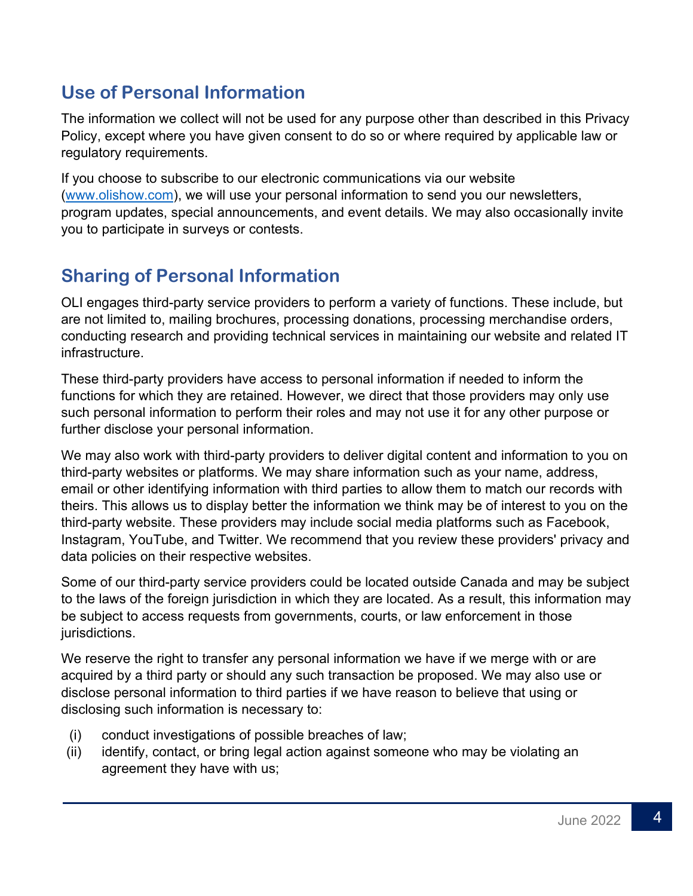# **Use of Personal Information**

The information we collect will not be used for any purpose other than described in this Privacy Policy, except where you have given consent to do so or where required by applicable law or regulatory requirements.

If you choose to subscribe to our electronic communications via our website (www.olishow.com), we will use your personal information to send you our newsletters, program updates, special announcements, and event details. We may also occasionally invite you to participate in surveys or contests.

# **Sharing of Personal Information**

OLI engages third-party service providers to perform a variety of functions. These include, but are not limited to, mailing brochures, processing donations, processing merchandise orders, conducting research and providing technical services in maintaining our website and related IT infrastructure.

These third-party providers have access to personal information if needed to inform the functions for which they are retained. However, we direct that those providers may only use such personal information to perform their roles and may not use it for any other purpose or further disclose your personal information.

We may also work with third-party providers to deliver digital content and information to you on third-party websites or platforms. We may share information such as your name, address, email or other identifying information with third parties to allow them to match our records with theirs. This allows us to display better the information we think may be of interest to you on the third-party website. These providers may include social media platforms such as Facebook, Instagram, YouTube, and Twitter. We recommend that you review these providers' privacy and data policies on their respective websites.

Some of our third-party service providers could be located outside Canada and may be subject to the laws of the foreign jurisdiction in which they are located. As a result, this information may be subject to access requests from governments, courts, or law enforcement in those jurisdictions.

We reserve the right to transfer any personal information we have if we merge with or are acquired by a third party or should any such transaction be proposed. We may also use or disclose personal information to third parties if we have reason to believe that using or disclosing such information is necessary to:

- (i) conduct investigations of possible breaches of law;
- (ii) identify, contact, or bring legal action against someone who may be violating an agreement they have with us;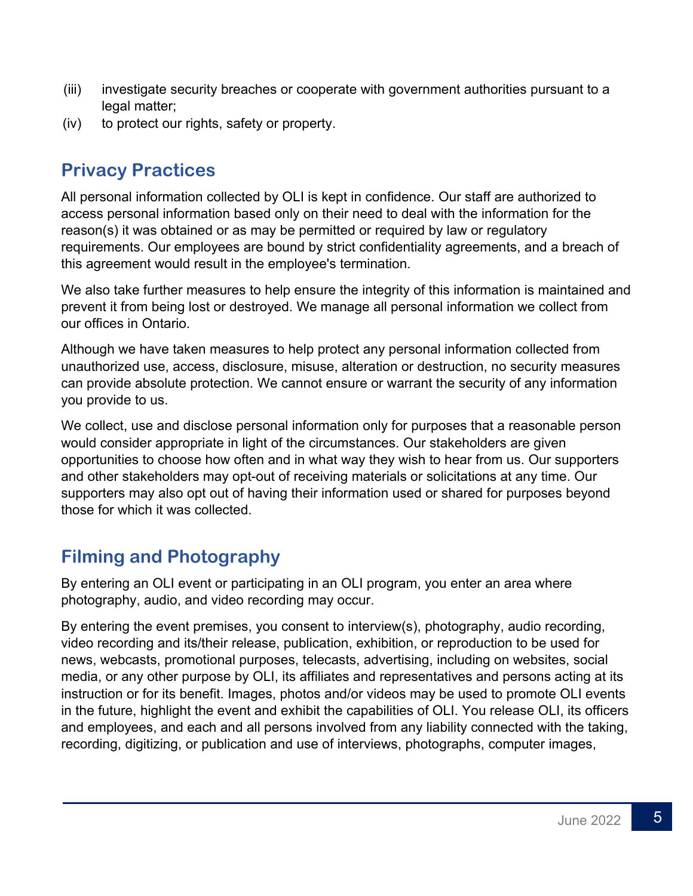- (iii) investigate security breaches or cooperate with government authorities pursuant to a legal matter;
- (iv) to protect our rights, safety or property.

#### **Privacy Practices**

All personal information collected by OLI is kept in confidence. Our staff are authorized to access personal information based only on their need to deal with the information for the reason(s) it was obtained or as may be permitted or required by law or regulatory requirements. Our employees are bound by strict confidentiality agreements, and a breach of this agreement would result in the employee's termination.

We also take further measures to help ensure the integrity of this information is maintained and prevent it from being lost or destroyed. We manage all personal information we collect from our offices in Ontario.

Although we have taken measures to help protect any personal information collected from unauthorized use, access, disclosure, misuse, alteration or destruction, no security measures can provide absolute protection. We cannot ensure or warrant the security of any information you provide to us.

We collect, use and disclose personal information only for purposes that a reasonable person would consider appropriate in light of the circumstances. Our stakeholders are given opportunities to choose how often and in what way they wish to hear from us. Our supporters and other stakeholders may opt-out of receiving materials or solicitations at any time. Our supporters may also opt out of having their information used or shared for purposes beyond those for which it was collected.

# **Filming and Photography**

By entering an OLI event or participating in an OLI program, you enter an area where photography, audio, and video recording may occur.

By entering the event premises, you consent to interview(s), photography, audio recording, video recording and its/their release, publication, exhibition, or reproduction to be used for news, webcasts, promotional purposes, telecasts, advertising, including on websites, social media, or any other purpose by OLI, its affiliates and representatives and persons acting at its instruction or for its benefit. Images, photos and/or videos may be used to promote OLI events in the future, highlight the event and exhibit the capabilities of OLI. You release OLI, its officers and employees, and each and all persons involved from any liability connected with the taking, recording, digitizing, or publication and use of interviews, photographs, computer images,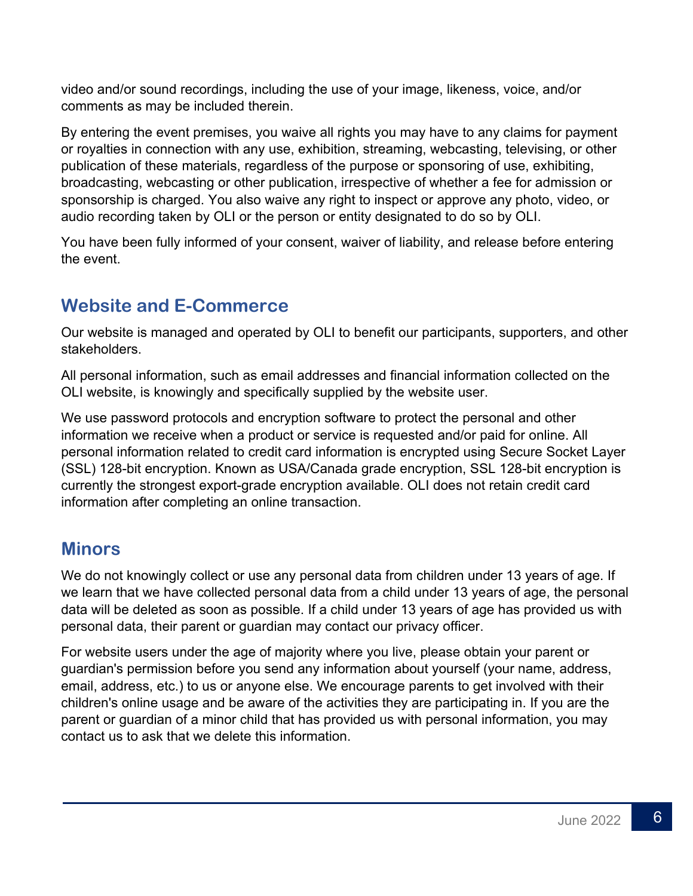video and/or sound recordings, including the use of your image, likeness, voice, and/or comments as may be included therein.

By entering the event premises, you waive all rights you may have to any claims for payment or royalties in connection with any use, exhibition, streaming, webcasting, televising, or other publication of these materials, regardless of the purpose or sponsoring of use, exhibiting, broadcasting, webcasting or other publication, irrespective of whether a fee for admission or sponsorship is charged. You also waive any right to inspect or approve any photo, video, or audio recording taken by OLI or the person or entity designated to do so by OLI.

You have been fully informed of your consent, waiver of liability, and release before entering the event.

# **Website and E-Commerce**

Our website is managed and operated by OLI to benefit our participants, supporters, and other stakeholders.

All personal information, such as email addresses and financial information collected on the OLI website, is knowingly and specifically supplied by the website user.

We use password protocols and encryption software to protect the personal and other information we receive when a product or service is requested and/or paid for online. All personal information related to credit card information is encrypted using Secure Socket Layer (SSL) 128-bit encryption. Known as USA/Canada grade encryption, SSL 128-bit encryption is currently the strongest export-grade encryption available. OLI does not retain credit card information after completing an online transaction.

#### **Minors**

We do not knowingly collect or use any personal data from children under 13 years of age. If we learn that we have collected personal data from a child under 13 years of age, the personal data will be deleted as soon as possible. If a child under 13 years of age has provided us with personal data, their parent or guardian may contact our privacy officer.

For website users under the age of majority where you live, please obtain your parent or guardian's permission before you send any information about yourself (your name, address, email, address, etc.) to us or anyone else. We encourage parents to get involved with their children's online usage and be aware of the activities they are participating in. If you are the parent or guardian of a minor child that has provided us with personal information, you may contact us to ask that we delete this information.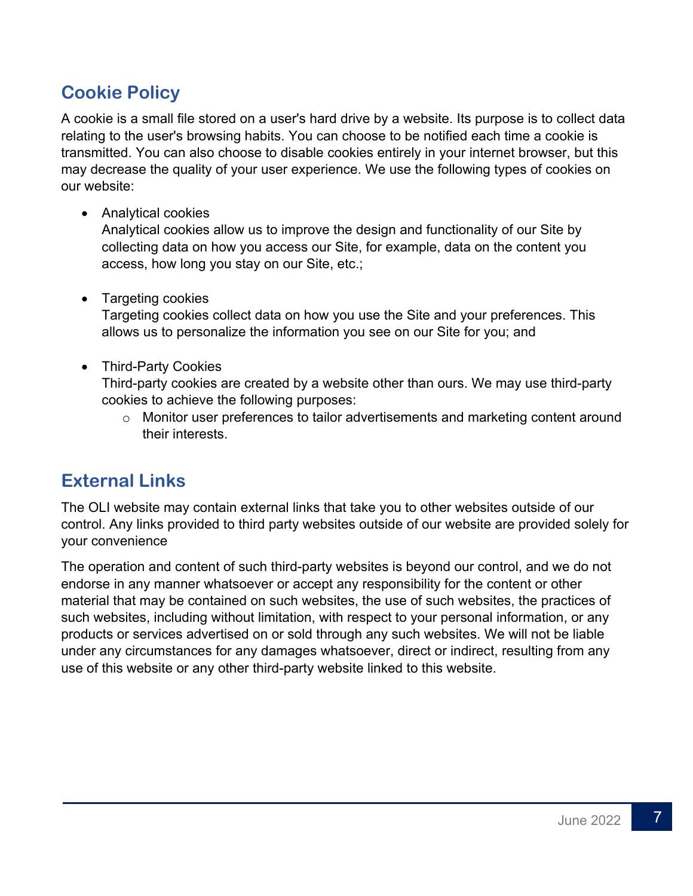# **Cookie Policy**

A cookie is a small file stored on a user's hard drive by a website. Its purpose is to collect data relating to the user's browsing habits. You can choose to be notified each time a cookie is transmitted. You can also choose to disable cookies entirely in your internet browser, but this may decrease the quality of your user experience. We use the following types of cookies on our website:

• Analytical cookies

Analytical cookies allow us to improve the design and functionality of our Site by collecting data on how you access our Site, for example, data on the content you access, how long you stay on our Site, etc.;

• Targeting cookies

Targeting cookies collect data on how you use the Site and your preferences. This allows us to personalize the information you see on our Site for you; and

#### • Third-Party Cookies

Third-party cookies are created by a website other than ours. We may use third-party cookies to achieve the following purposes:

o Monitor user preferences to tailor advertisements and marketing content around their interests.

#### **External Links**

The OLI website may contain external links that take you to other websites outside of our control. Any links provided to third party websites outside of our website are provided solely for your convenience

The operation and content of such third-party websites is beyond our control, and we do not endorse in any manner whatsoever or accept any responsibility for the content or other material that may be contained on such websites, the use of such websites, the practices of such websites, including without limitation, with respect to your personal information, or any products or services advertised on or sold through any such websites. We will not be liable under any circumstances for any damages whatsoever, direct or indirect, resulting from any use of this website or any other third-party website linked to this website.